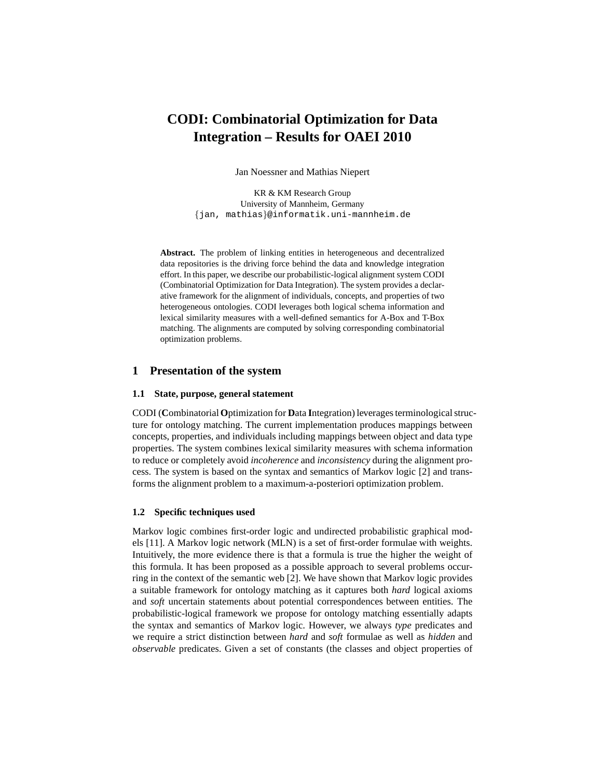# **CODI: Combinatorial Optimization for Data Integration – Results for OAEI 2010**

Jan Noessner and Mathias Niepert

KR & KM Research Group University of Mannheim, Germany {jan, mathias}@informatik.uni-mannheim.de

**Abstract.** The problem of linking entities in heterogeneous and decentralized data repositories is the driving force behind the data and knowledge integration effort. In this paper, we describe our probabilistic-logical alignment system CODI (Combinatorial Optimization for Data Integration). The system provides a declarative framework for the alignment of individuals, concepts, and properties of two heterogeneous ontologies. CODI leverages both logical schema information and lexical similarity measures with a well-defined semantics for A-Box and T-Box matching. The alignments are computed by solving corresponding combinatorial optimization problems.

## **1 Presentation of the system**

#### **1.1 State, purpose, general statement**

CODI (**C**ombinatorial**O**ptimization for **D**ata **I**ntegration) leverages terminological structure for ontology matching. The current implementation produces mappings between concepts, properties, and individuals including mappings between object and data type properties. The system combines lexical similarity measures with schema information to reduce or completely avoid *incoherence* and *inconsistency* during the alignment process. The system is based on the syntax and semantics of Markov logic [2] and transforms the alignment problem to a maximum-a-posteriori optimization problem.

#### **1.2 Specific techniques used**

Markov logic combines first-order logic and undirected probabilistic graphical models [11]. A Markov logic network (MLN) is a set of first-order formulae with weights. Intuitively, the more evidence there is that a formula is true the higher the weight of this formula. It has been proposed as a possible approach to several problems occurring in the context of the semantic web [2]. We have shown that Markov logic provides a suitable framework for ontology matching as it captures both *hard* logical axioms and *soft* uncertain statements about potential correspondences between entities. The probabilistic-logical framework we propose for ontology matching essentially adapts the syntax and semantics of Markov logic. However, we always *type* predicates and we require a strict distinction between *hard* and *soft* formulae as well as *hidden* and *observable* predicates. Given a set of constants (the classes and object properties of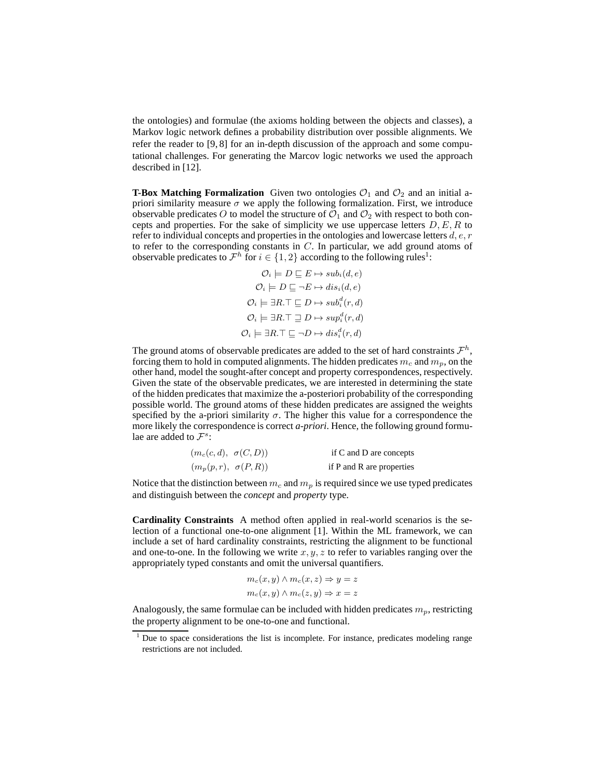the ontologies) and formulae (the axioms holding between the objects and classes), a Markov logic network defines a probability distribution over possible alignments. We refer the reader to [9, 8] for an in-depth discussion of the approach and some computational challenges. For generating the Marcov logic networks we used the approach described in [12].

**T-Box Matching Formalization** Given two ontologies  $O_1$  and  $O_2$  and an initial apriori similarity measure  $\sigma$  we apply the following formalization. First, we introduce observable predicates O to model the structure of  $\mathcal{O}_1$  and  $\mathcal{O}_2$  with respect to both concepts and properties. For the sake of simplicity we use uppercase letters  $D, E, R$  to refer to individual concepts and properties in the ontologies and lowercase letters  $d, e, r$ to refer to the corresponding constants in  $C$ . In particular, we add ground atoms of observable predicates to  $\mathcal{F}^h$  for  $i \in \{1,2\}$  according to the following rules<sup>1</sup>:

$$
\mathcal{O}_i \models D \sqsubseteq E \mapsto sub_i(d, e)
$$

$$
\mathcal{O}_i \models D \sqsubseteq \neg E \mapsto dis_i(d, e)
$$

$$
\mathcal{O}_i \models \exists R. \top \sqsubseteq D \mapsto sub_i^d(r, d)
$$

$$
\mathcal{O}_i \models \exists R. \top \sqsubseteq D \mapsto sup_i^d(r, d)
$$

$$
\mathcal{O}_i \models \exists R. \top \sqsubseteq \neg D \mapsto dis_i^d(r, d)
$$

The ground atoms of observable predicates are added to the set of hard constraints  $\mathcal{F}^h$ , forcing them to hold in computed alignments. The hidden predicates  $m_c$  and  $m_p$ , on the other hand, model the sought-after concept and property correspondences, respectively. Given the state of the observable predicates, we are interested in determining the state of the hidden predicates that maximize the a-posteriori probability of the corresponding possible world. The ground atoms of these hidden predicates are assigned the weights specified by the a-priori similarity  $\sigma$ . The higher this value for a correspondence the more likely the correspondence is correct *a-priori*. Hence, the following ground formulae are added to  $\mathcal{F}^s$ :

| $(m_c(c,d), \sigma(C,D))$ | if C and D are concepts   |
|---------------------------|---------------------------|
| $(m_p(p,r), \sigma(P,R))$ | if P and R are properties |

Notice that the distinction between  $m_c$  and  $m_p$  is required since we use typed predicates and distinguish between the *concept* and *property* type.

**Cardinality Constraints** A method often applied in real-world scenarios is the selection of a functional one-to-one alignment [1]. Within the ML framework, we can include a set of hard cardinality constraints, restricting the alignment to be functional and one-to-one. In the following we write  $x, y, z$  to refer to variables ranging over the appropriately typed constants and omit the universal quantifiers.

$$
m_c(x, y) \land m_c(x, z) \Rightarrow y = z
$$
  

$$
m_c(x, y) \land m_c(z, y) \Rightarrow x = z
$$

Analogously, the same formulae can be included with hidden predicates  $m_p$ , restricting the property alignment to be one-to-one and functional.

<sup>&</sup>lt;sup>1</sup> Due to space considerations the list is incomplete. For instance, predicates modeling range restrictions are not included.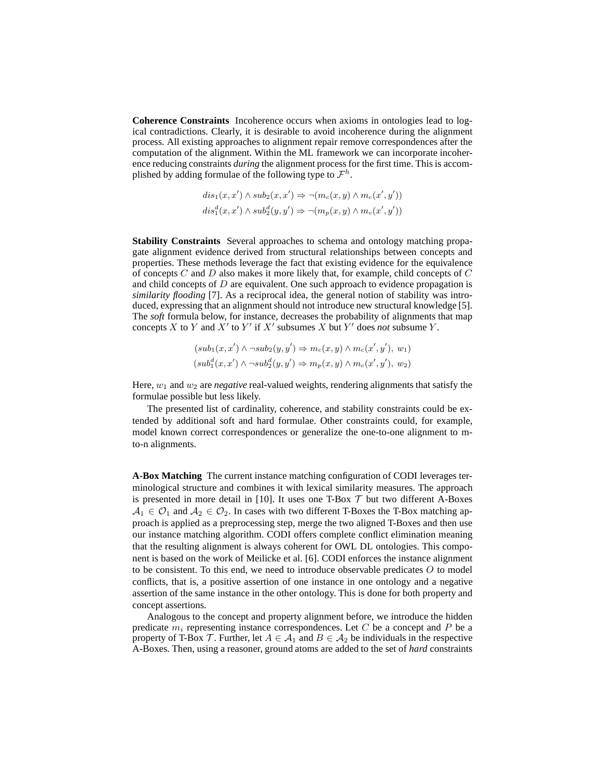**Coherence Constraints** Incoherence occurs when axioms in ontologies lead to logical contradictions. Clearly, it is desirable to avoid incoherence during the alignment process. All existing approaches to alignment repair remove correspondences after the computation of the alignment. Within the ML framework we can incorporate incoherence reducing constraints *during* the alignment process for the first time. This is accomplished by adding formulae of the following type to  $\mathcal{F}^h$ .

$$
dis_1(x, x') \wedge sub_2(x, x') \Rightarrow \neg(m_c(x, y) \wedge m_c(x', y'))
$$
  

$$
dis_1^d(x, x') \wedge sub_2^d(y, y') \Rightarrow \neg(m_p(x, y) \wedge m_c(x', y'))
$$

**Stability Constraints** Several approaches to schema and ontology matching propagate alignment evidence derived from structural relationships between concepts and properties. These methods leverage the fact that existing evidence for the equivalence of concepts  $C$  and  $D$  also makes it more likely that, for example, child concepts of  $C$ and child concepts of  $D$  are equivalent. One such approach to evidence propagation is *similarity flooding* [7]. As a reciprocal idea, the general notion of stability was introduced, expressing that an alignment should not introduce new structural knowledge [5]. The *soft* formula below, for instance, decreases the probability of alignments that map concepts X to Y and X' to Y' if X' subsumes X but Y' does *not* subsume Y.

$$
(sub_1(x, x') \land \neg sub_2(y, y') \Rightarrow m_c(x, y) \land m_c(x', y'), w_1)
$$

$$
(sub_1^d(x, x') \land \neg sub_2^d(y, y') \Rightarrow m_p(x, y) \land m_c(x', y'), w_2)
$$

Here,  $w_1$  and  $w_2$  are *negative* real-valued weights, rendering alignments that satisfy the formulae possible but less likely.

The presented list of cardinality, coherence, and stability constraints could be extended by additional soft and hard formulae. Other constraints could, for example, model known correct correspondences or generalize the one-to-one alignment to mto-n alignments.

**A-Box Matching** The current instance matching configuration of CODI leverages terminological structure and combines it with lexical similarity measures. The approach is presented in more detail in [10]. It uses one T-Box  $T$  but two different A-Boxes  $A_1 \in \mathcal{O}_1$  and  $A_2 \in \mathcal{O}_2$ . In cases with two different T-Boxes the T-Box matching approach is applied as a preprocessing step, merge the two aligned T-Boxes and then use our instance matching algorithm. CODI offers complete conflict elimination meaning that the resulting alignment is always coherent for OWL DL ontologies. This component is based on the work of Meilicke et al. [6]. CODI enforces the instance alignment to be consistent. To this end, we need to introduce observable predicates  $O$  to model conflicts, that is, a positive assertion of one instance in one ontology and a negative assertion of the same instance in the other ontology. This is done for both property and concept assertions.

Analogous to the concept and property alignment before, we introduce the hidden predicate  $m_i$  representing instance correspondences. Let C be a concept and P be a property of T-Box T. Further, let  $A \in \mathcal{A}_1$  and  $B \in \mathcal{A}_2$  be individuals in the respective A-Boxes. Then, using a reasoner, ground atoms are added to the set of *hard* constraints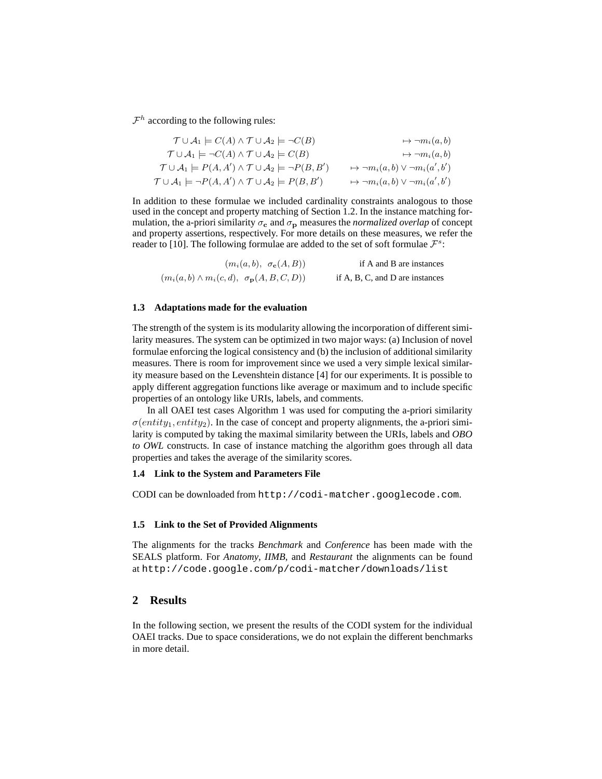$\mathcal{F}^h$  according to the following rules:

$$
\begin{aligned}\n\mathcal{T} \cup \mathcal{A}_1 &= C(A) \land \mathcal{T} \cup \mathcal{A}_2 = \neg C(B) & \mapsto \neg m_i(a, b) \\
\mathcal{T} \cup \mathcal{A}_1 &= \neg C(A) \land \mathcal{T} \cup \mathcal{A}_2 = C(B) & \mapsto \neg m_i(a, b) \\
\mathcal{T} \cup \mathcal{A}_1 &= P(A, A') \land \mathcal{T} \cup \mathcal{A}_2 = \neg P(B, B') & \mapsto \neg m_i(a, b) \lor \neg m_i(a', b') \\
\mathcal{T} \cup \mathcal{A}_1 &= \neg P(A, A') \land \mathcal{T} \cup \mathcal{A}_2 = P(B, B') & \mapsto \neg m_i(a, b) \lor \neg m_i(a', b')\n\end{aligned}
$$

In addition to these formulae we included cardinality constraints analogous to those used in the concept and property matching of Section 1.2. In the instance matching formulation, the a-priori similarity  $\sigma_c$  and  $\sigma_p$  measures the *normalized overlap* of concept and property assertions, respectively. For more details on these measures, we refer the reader to [10]. The following formulae are added to the set of soft formulae  $\mathcal{F}^s$ :

| $(m_i(a, b), \sigma_c(A, B))$                              | if A and B are instances        |
|------------------------------------------------------------|---------------------------------|
| $(m_i(a,b) \wedge m_i(c,d), \sigma_{\mathbf{p}}(A,B,C,D))$ | if A, B, C, and D are instances |

## **1.3 Adaptations made for the evaluation**

The strength of the system is its modularity allowing the incorporation of different similarity measures. The system can be optimized in two major ways: (a) Inclusion of novel formulae enforcing the logical consistency and (b) the inclusion of additional similarity measures. There is room for improvement since we used a very simple lexical similarity measure based on the Levenshtein distance [4] for our experiments. It is possible to apply different aggregation functions like average or maximum and to include specific properties of an ontology like URIs, labels, and comments.

In all OAEI test cases Algorithm 1 was used for computing the a-priori similarity  $\sigma(entity_1, entity_2)$ . In the case of concept and property alignments, the a-priori similarity is computed by taking the maximal similarity between the URIs, labels and *OBO to OWL* constructs. In case of instance matching the algorithm goes through all data properties and takes the average of the similarity scores.

#### **1.4 Link to the System and Parameters File**

CODI can be downloaded from http://codi-matcher.googlecode.com.

#### **1.5 Link to the Set of Provided Alignments**

The alignments for the tracks *Benchmark* and *Conference* has been made with the SEALS platform. For *Anatomy*, *IIMB*, and *Restaurant* the alignments can be found at http://code.google.com/p/codi-matcher/downloads/list

## **2 Results**

In the following section, we present the results of the CODI system for the individual OAEI tracks. Due to space considerations, we do not explain the different benchmarks in more detail.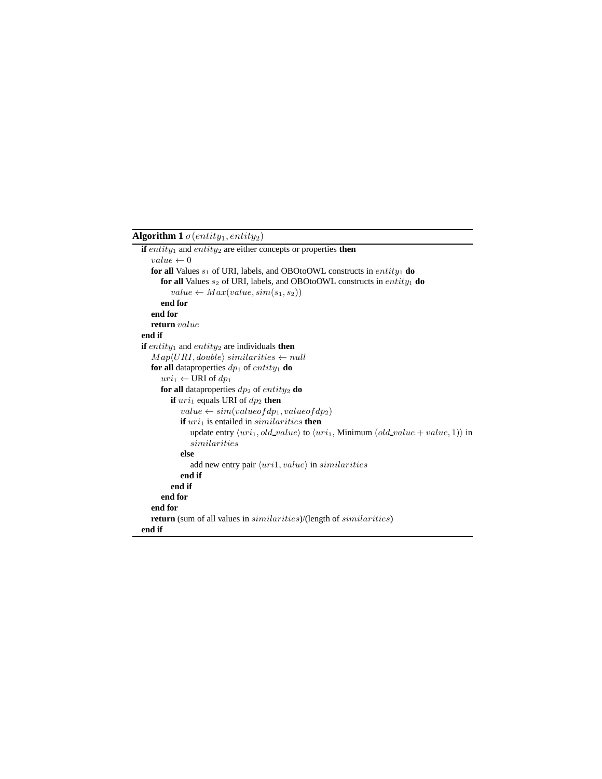## **Algorithm 1**  $\sigma(entity_1, entity_2)$

```
if entity<sub>1</sub> and entity<sub>2</sub> are either concepts or properties then
   value \leftarrow 0for all Values s_1 of URI, labels, and OBOtoOWL constructs in entity_1 do
      for all Values s_2 of URI, labels, and OBOtoOWL constructs in entity<sub>1</sub> do
         value \leftarrow Max(value, sim(s<sub>1</sub>, s<sub>2</sub>))end for
   end for
   return value
end if
if entity_1 and entity_2 are individuals then
   Map\langle URI, double \rangle similarities \leftarrow nullfor all dataproperties dp_1 of entity<sub>1</sub> do
      uri_1 \leftarrow \text{URI of } dp_1for all dataproperties dp_2 of entity<sub>2</sub> do
         if uri_1 equals URI of dp_2 then
             value \leftarrow sim(valueofdp_1, valueofdp_2)\mathbf{if}~uri_1 is entailed in similarity then
                update entry \langle uri_1, old\_value \rangle to \langle uri_1, Minimum (old\_value + value, 1) in
                similarities
             else
                add new entry pair \langle uni1, value \rangle in similarities
             end if
         end if
      end for
   end for
   return (sum of all values in similarities)/(length of similarities)
end if
```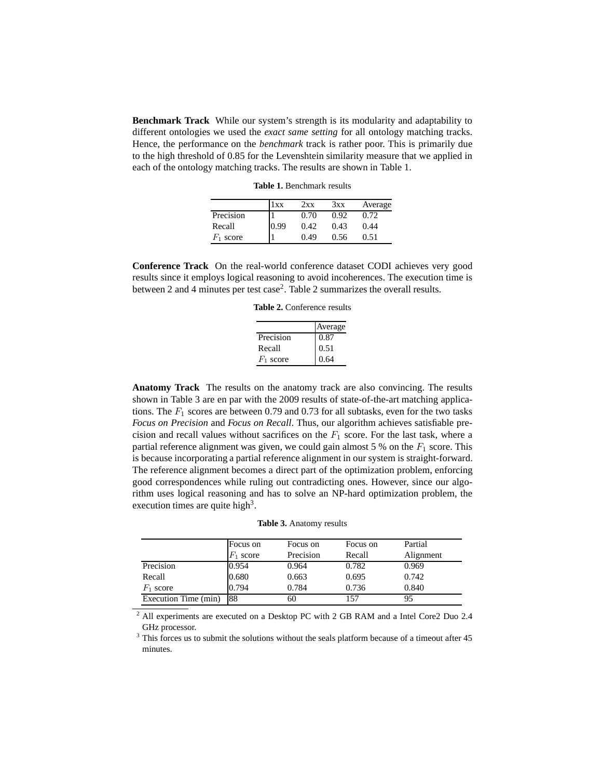**Benchmark Track** While our system's strength is its modularity and adaptability to different ontologies we used the *exact same setting* for all ontology matching tracks. Hence, the performance on the *benchmark* track is rather poor. This is primarily due to the high threshold of 0.85 for the Levenshtein similarity measure that we applied in each of the ontology matching tracks. The results are shown in Table 1.

**Table 1.** Benchmark results

|             | 1 x x | 2xx  | 3xx  | Average |
|-------------|-------|------|------|---------|
| Precision   |       | 0.70 | 0.92 | 0.72    |
| Recall      | 0.99  | 0.42 | 0.43 | 0.44    |
| $F_1$ score |       | 0.49 | 0.56 | 0.51    |

**Conference Track** On the real-world conference dataset CODI achieves very good results since it employs logical reasoning to avoid incoherences. The execution time is between 2 and 4 minutes per test case<sup>2</sup>. Table 2 summarizes the overall results.

**Table 2.** Conference results

|             | Average |
|-------------|---------|
| Precision   | 0.87    |
| Recall      | 0.51    |
| $F_1$ score | 0.64    |

**Anatomy Track** The results on the anatomy track are also convincing. The results shown in Table 3 are en par with the 2009 results of state-of-the-art matching applications. The  $F_1$  scores are between 0.79 and 0.73 for all subtasks, even for the two tasks *Focus on Precision* and *Focus on Recall*. Thus, our algorithm achieves satisfiable precision and recall values without sacrifices on the  $F_1$  score. For the last task, where a partial reference alignment was given, we could gain almost 5 % on the  $F_1$  score. This is because incorporating a partial reference alignment in our system is straight-forward. The reference alignment becomes a direct part of the optimization problem, enforcing good correspondences while ruling out contradicting ones. However, since our algorithm uses logical reasoning and has to solve an NP-hard optimization problem, the execution times are quite high<sup>3</sup>.

**Table 3.** Anatomy results

|                      | Focus on    | Focus on  | Focus on | Partial   |
|----------------------|-------------|-----------|----------|-----------|
|                      | $F_1$ score | Precision | Recall   | Alignment |
| Precision            | 0.954       | 0.964     | 0.782    | 0.969     |
| Recall               | 0.680       | 0.663     | 0.695    | 0.742     |
| $F_1$ score          | 0.794       | 0.784     | 0.736    | 0.840     |
| Execution Time (min) | 88          | 60        | 157      | 95        |

<sup>2</sup> All experiments are executed on a Desktop PC with 2 GB RAM and a Intel Core2 Duo 2.4 GHz processor.

<sup>3</sup> This forces us to submit the solutions without the seals platform because of a timeout after 45 minutes.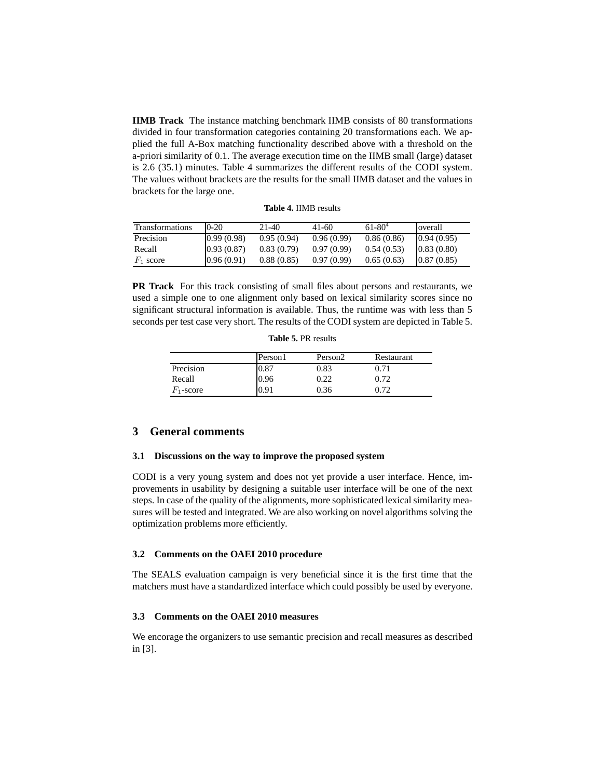**IIMB Track** The instance matching benchmark IIMB consists of 80 transformations divided in four transformation categories containing 20 transformations each. We applied the full A-Box matching functionality described above with a threshold on the a-priori similarity of 0.1. The average execution time on the IIMB small (large) dataset is 2.6 (35.1) minutes. Table 4 summarizes the different results of the CODI system. The values without brackets are the results for the small IIMB dataset and the values in brackets for the large one.

| <b>Transformations</b> | $0-20$     | $21-40$    | 41-60      | $61 - 80^{4}$ | overall    |
|------------------------|------------|------------|------------|---------------|------------|
| Precision              | 0.99(0.98) | 0.95(0.94) | 0.96(0.99) | 0.86(0.86)    | 0.94(0.95) |
| Recall                 | 0.93(0.87) | 0.83(0.79) | 0.97(0.99) | 0.54(0.53)    | 0.83(0.80) |
| $F_1$ score            | 0.96(0.91) | 0.88(0.85) | 0.97(0.99) | 0.65(0.63)    | 0.87(0.85) |

**PR Track** For this track consisting of small files about persons and restaurants, we used a simple one to one alignment only based on lexical similarity scores since no significant structural information is available. Thus, the runtime was with less than 5 seconds per test case very short. The results of the CODI system are depicted in Table 5.

**Table 5.** PR results

|              | Person1 | Person <sub>2</sub> | Restaurant |
|--------------|---------|---------------------|------------|
| Precision    | 0.87    | 0.83                | 9.71       |
| Recall       | 0.96    | 0.22                | 0.72       |
| $F_1$ -score | 0.91    | 0.36                | በ 72       |

### **3 General comments**

#### **3.1 Discussions on the way to improve the proposed system**

CODI is a very young system and does not yet provide a user interface. Hence, improvements in usability by designing a suitable user interface will be one of the next steps. In case of the quality of the alignments, more sophisticated lexical similarity measures will be tested and integrated. We are also working on novel algorithms solving the optimization problems more efficiently.

#### **3.2 Comments on the OAEI 2010 procedure**

The SEALS evaluation campaign is very beneficial since it is the first time that the matchers must have a standardized interface which could possibly be used by everyone.

## **3.3 Comments on the OAEI 2010 measures**

We encorage the organizers to use semantic precision and recall measures as described in [3].